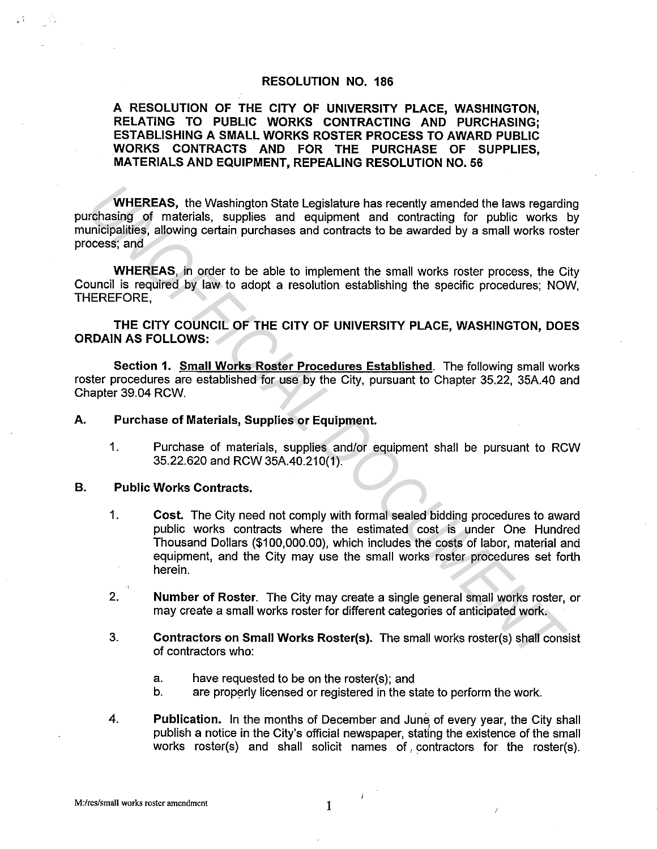## **RESOLUTION NO. 186**

**A RESOLUTION OF THE CITY OF UNIVERSITY PLACE, WASHINGTON, RELATING TO PUBLIC WORKS CONTRACTING AND PURCHASING; ESTABLISHING A SMALL WORKS ROSTER PROCESS TO AWARD PUBLIC WORKS CONTRACTS AND FOR THE PURCHASE OF SUPPLIES, MATERIALS AND EQUIPMENT, REPEALING RESOLUTION NO. 56** 

**WHEREAS,** the Washington State Legislature has recently amended the laws regarding purchasing of materials, supplies and equipment and contracting for public works by municipalities, allowing certain purchases and contracts to be awarded by a small works roster process; and

**WHEREAS,** in order to be able to implement the small works roster process, the City Council is required by law to adopt a resolution establishing the specific procedures; NOW, THEREFORE,

**THE CITY COUNCIL OF THE CITY OF UNIVERSITY PLACE, WASHINGTON, DOES ORDAIN AS FOLLOWS:** 

**Section 1. Small Works Roster Procedures Established.** The following small works roster procedures are established for use by the City, pursuant to Chapter 35.22, 35A.40 and Chapter 39.04 RCW.

## **A. Purchase of Materials, Supplies or Equipment.**

1. Purchase of materials, supplies and/or equipment shall be pursuant to RCW 35.22.620 and RCW 35A.40.210(1).

## **B.** Public Works Contracts.

- 1. **Cost.** The City need not comply with formal sealed bidding procedures to award public works contracts where the estimated cost is under One Hundred Thousand Dollars (\$100,000.00), which includes the costs of labor, material and equipment, and the City may use the small works roster procedures set forth herein. **WHEREAS**, the Washington State Legislature has recently amended the laws regarding<br>
Uniformalisms, allowing certain, purchases and contracts to be awarded by a small works rost<br>
Docess; and<br>
UNEREAS, in order to be able t
	- 2. **Number of Roster.** The City may create a single general small works roster, or may create a small works roster for different categories of anticipated work.
	- 3. **Contractors on Small Works Roster(s).** The small works roster(s) shall consist of contractors who:
		- a. have requested to be on the roster(s); and
		- b. are properly licensed or registered in the state to perform the work.
	- 4. **Publication.** In the months of December and June, of every year, the City shall publish a notice in the City's official newspaper, stating the existence of the small works roster(s) and shall solicit names of, contractors for the roster(s).

ł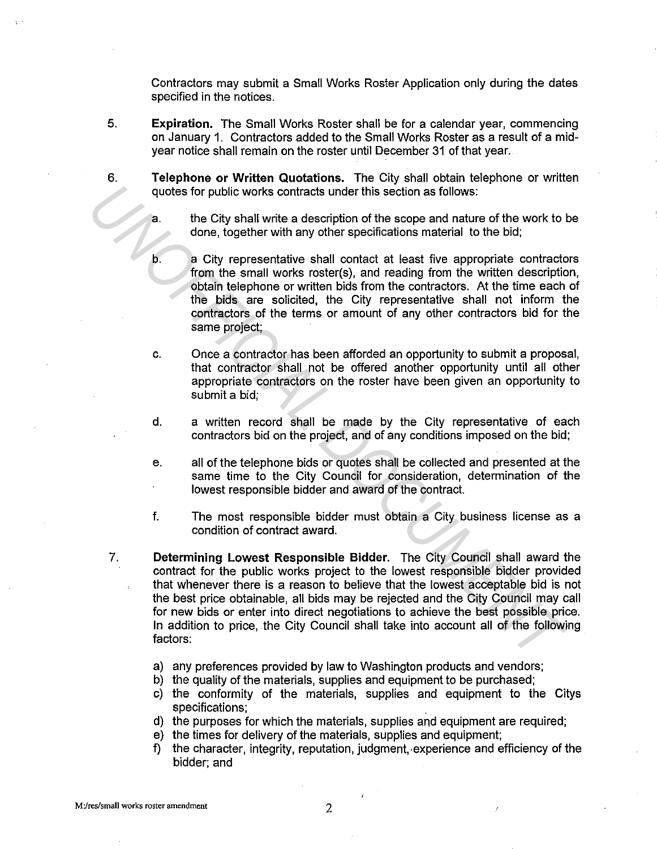Contractors may submit a Small Works Roster Application only during the dates specified in the notices.

- 5. **Expiration.** The Small Works Roster shall be for a calendar year, commencing on January 1. Contractors added to the Small Works Roster as a result of a midyear notice shall remain on the roster until December 31 of that year.
- 6. **Telephone or Written Quotations.** The City shall obtain telephone or written quotes for public works contracts under this section as follows:
	- a. the City shall write a description of the scope and nature of the work to be done, together with any other specifications material to the bid;
	- b. a City representative shall contact at least five appropriate contractors from the small works roster(s), and reading from the written description, obtain telephone or written bids from the contractors. At the time each of the bids are solicited, the City representative shall not inform the contractors of the terms or amount of any other contractors bid for the same project;
	- c. Once a contractor has been afforded an opportunity to submit a proposal, that contractor shall not be offered another opportunity until all other appropriate contractors on the roster have been given an opportunity to submit a bid;
	- d. a written record shall be made by the City representative of each contractors bid on the project, and of any conditions imposed on the bid;
	- e. all of the telephone bids or quotes shall be collected and presented at the same time to the City Council for consideration, determination of the lowest responsible bidder and award of the contract.
	- f. The most responsible bidder must obtain a City business license as a condition of contract award.
- 7. **Determining Lowest Responsible Bidder.** The City Council shall award the contract for the public works project to the lowest responsible bidder provided that whenever there is a reason to believe that the lowest acceptable bid is not the best price obtainable, all bids may be rejected and the City Council may call for new bids or enter into direct negotiations to achieve the best possible price. In addition to price, the City Council shall take into account all of the following factors: quotes for public works contracts under this section as follows:<br> **EXECUMENT AND AND THE CREAT AND AND AND A** carrier of the scope and nature of the work to<br>
the City shall write a description of the scope and nature of th
	- a) any preferences provided by law to Washington products and vendors;
	- b) the quality of the materials, supplies and equipment to be purchased;
	- c) the conformity of the materials, supplies and equipment to the Citys specifications;
	- d) the purposes for which the materials, supplies and equipment are required;
	- e) the times for delivery of the materials, supplies and equipment;
	- f) the character, integrity, reputation, judgment, experience and efficiency of the bidder; and